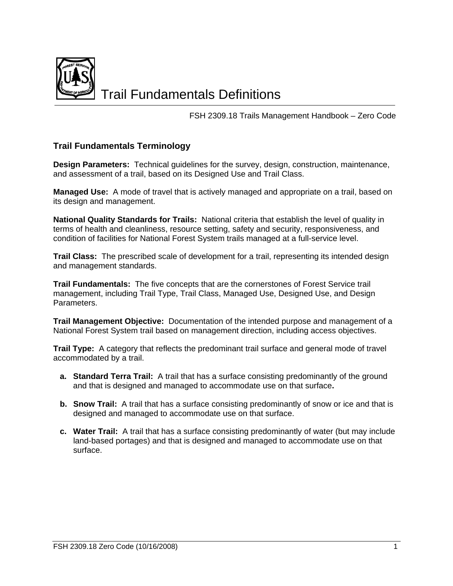

Trail Fundamentals Definitions

FSH 2309.18 Trails Management Handbook – Zero Code

## **Trail Fundamentals Terminology**

**Design Parameters:** Technical guidelines for the survey, design, construction, maintenance, and assessment of a trail, based on its Designed Use and Trail Class.

**Managed Use:** A mode of travel that is actively managed and appropriate on a trail, based on its design and management.

**National Quality Standards for Trails:** National criteria that establish the level of quality in terms of health and cleanliness, resource setting, safety and security, responsiveness, and condition of facilities for National Forest System trails managed at a full-service level.

**Trail Class:** The prescribed scale of development for a trail, representing its intended design and management standards.

**Trail Fundamentals:** The five concepts that are the cornerstones of Forest Service trail management, including Trail Type, Trail Class, Managed Use, Designed Use, and Design Parameters.

**Trail Management Objective:** Documentation of the intended purpose and management of a National Forest System trail based on management direction, including access objectives.

**Trail Type:** A category that reflects the predominant trail surface and general mode of travel accommodated by a trail.

- **a. Standard Terra Trail:** A trail that has a surface consisting predominantly of the ground and that is designed and managed to accommodate use on that surface**.**
- **b.** Snow Trail: A trail that has a surface consisting predominantly of snow or ice and that is designed and managed to accommodate use on that surface.
- **c. Water Trail:** A trail that has a surface consisting predominantly of water (but may include land-based portages) and that is designed and managed to accommodate use on that surface.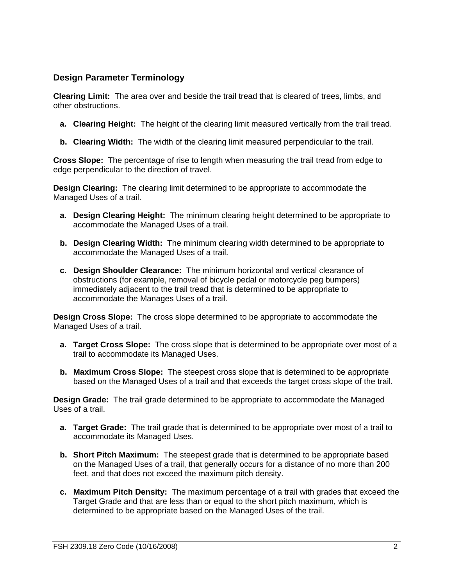## **Design Parameter Terminology**

**Clearing Limit:** The area over and beside the trail tread that is cleared of trees, limbs, and other obstructions.

- **a. Clearing Height:** The height of the clearing limit measured vertically from the trail tread.
- **b. Clearing Width:** The width of the clearing limit measured perpendicular to the trail.

**Cross Slope:** The percentage of rise to length when measuring the trail tread from edge to edge perpendicular to the direction of travel.

**Design Clearing:** The clearing limit determined to be appropriate to accommodate the Managed Uses of a trail.

- **a. Design Clearing Height:** The minimum clearing height determined to be appropriate to accommodate the Managed Uses of a trail.
- **b. Design Clearing Width:** The minimum clearing width determined to be appropriate to accommodate the Managed Uses of a trail.
- **c. Design Shoulder Clearance:** The minimum horizontal and vertical clearance of obstructions (for example, removal of bicycle pedal or motorcycle peg bumpers) immediately adjacent to the trail tread that is determined to be appropriate to accommodate the Manages Uses of a trail.

**Design Cross Slope:** The cross slope determined to be appropriate to accommodate the Managed Uses of a trail.

- **a. Target Cross Slope:** The cross slope that is determined to be appropriate over most of a trail to accommodate its Managed Uses.
- **b. Maximum Cross Slope:** The steepest cross slope that is determined to be appropriate based on the Managed Uses of a trail and that exceeds the target cross slope of the trail.

**Design Grade:** The trail grade determined to be appropriate to accommodate the Managed Uses of a trail

- **a. Target Grade:** The trail grade that is determined to be appropriate over most of a trail to accommodate its Managed Uses.
- **b. Short Pitch Maximum:** The steepest grade that is determined to be appropriate based on the Managed Uses of a trail, that generally occurs for a distance of no more than 200 feet, and that does not exceed the maximum pitch density.
- **c. Maximum Pitch Density:** The maximum percentage of a trail with grades that exceed the Target Grade and that are less than or equal to the short pitch maximum, which is determined to be appropriate based on the Managed Uses of the trail.